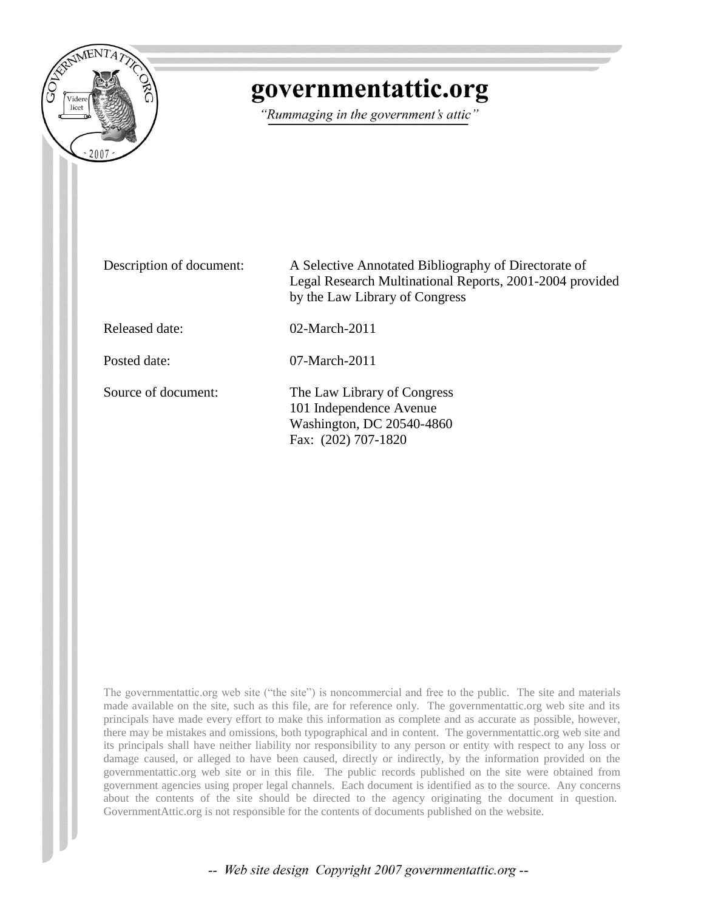

# governmentattic.org

"Rummaging in the government's attic"

Description of document: A Selective Annotated Bibliography of Directorate of Legal Research Multinational Reports, 2001-2004 provided by the Law Library of Congress

Released date: 02-March-2011

Posted date: 07-March-2011

Source of document: The Law Library of Congress 101 Independence Avenue Washington, DC 20540-4860 Fax: (202) 707-1820

The governmentattic.org web site ("the site") is noncommercial and free to the public. The site and materials made available on the site, such as this file, are for reference only. The governmentattic.org web site and its principals have made every effort to make this information as complete and as accurate as possible, however, there may be mistakes and omissions, both typographical and in content. The governmentattic.org web site and its principals shall have neither liability nor responsibility to any person or entity with respect to any loss or damage caused, or alleged to have been caused, directly or indirectly, by the information provided on the governmentattic.org web site or in this file. The public records published on the site were obtained from government agencies using proper legal channels. Each document is identified as to the source. Any concerns about the contents of the site should be directed to the agency originating the document in question. GovernmentAttic.org is not responsible for the contents of documents published on the website.

-- Web site design Copyright 2007 governmentattic.org --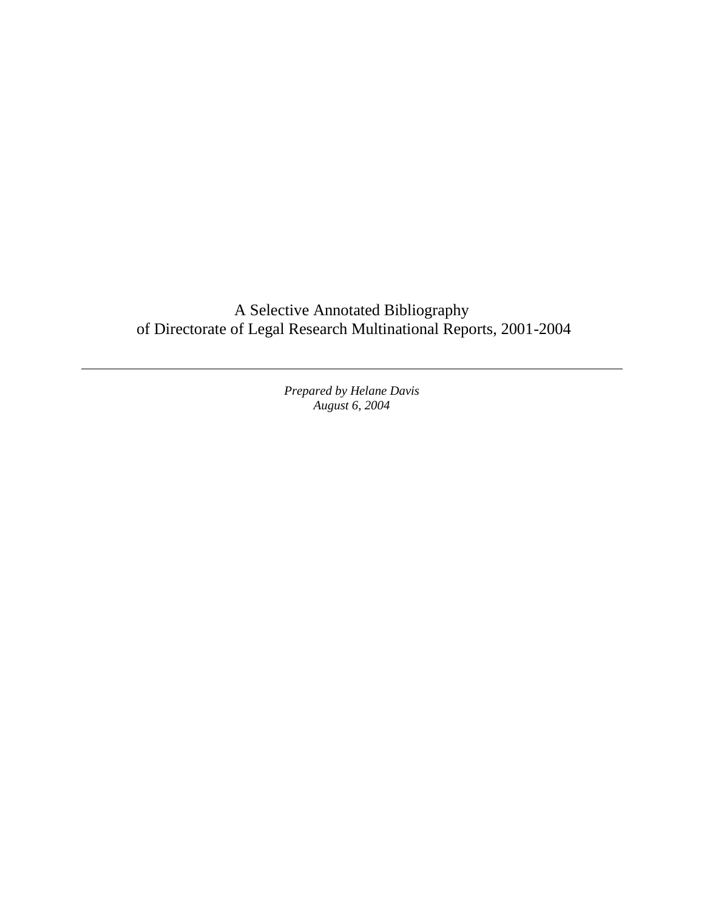A Selective Annotated Bibliography of Directorate of Legal Research Multinational Reports, 2001-2004

> *Prepared by Helane Davis August 6, 2004*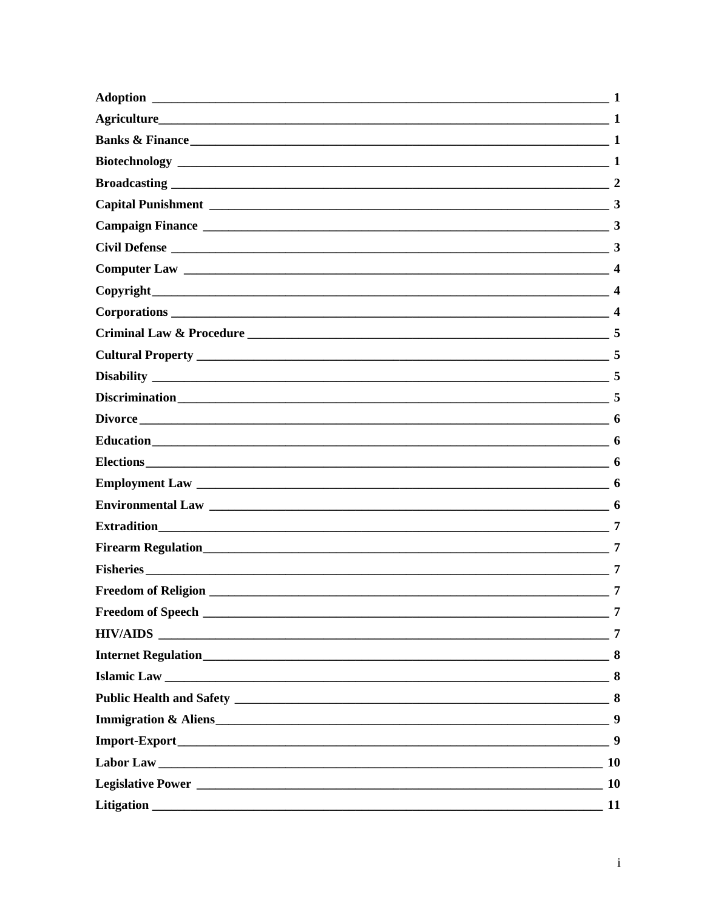| Adoption                                                             | 1         |
|----------------------------------------------------------------------|-----------|
|                                                                      | -1        |
| <b>Banks &amp; Finance</b> 1                                         |           |
|                                                                      |           |
|                                                                      |           |
|                                                                      |           |
|                                                                      |           |
|                                                                      |           |
|                                                                      |           |
|                                                                      |           |
|                                                                      |           |
|                                                                      | 5         |
|                                                                      |           |
|                                                                      |           |
|                                                                      |           |
|                                                                      |           |
|                                                                      |           |
|                                                                      |           |
|                                                                      |           |
|                                                                      |           |
|                                                                      | 7         |
|                                                                      | 7         |
|                                                                      |           |
|                                                                      |           |
|                                                                      | 7         |
| <b>HIV/AIDS</b><br><u> 2000 - Jan Alexander Alexander (h. 1888).</u> | 7         |
|                                                                      |           |
|                                                                      |           |
|                                                                      |           |
|                                                                      | 9         |
|                                                                      | 9         |
|                                                                      |           |
|                                                                      | <b>10</b> |
|                                                                      | 11        |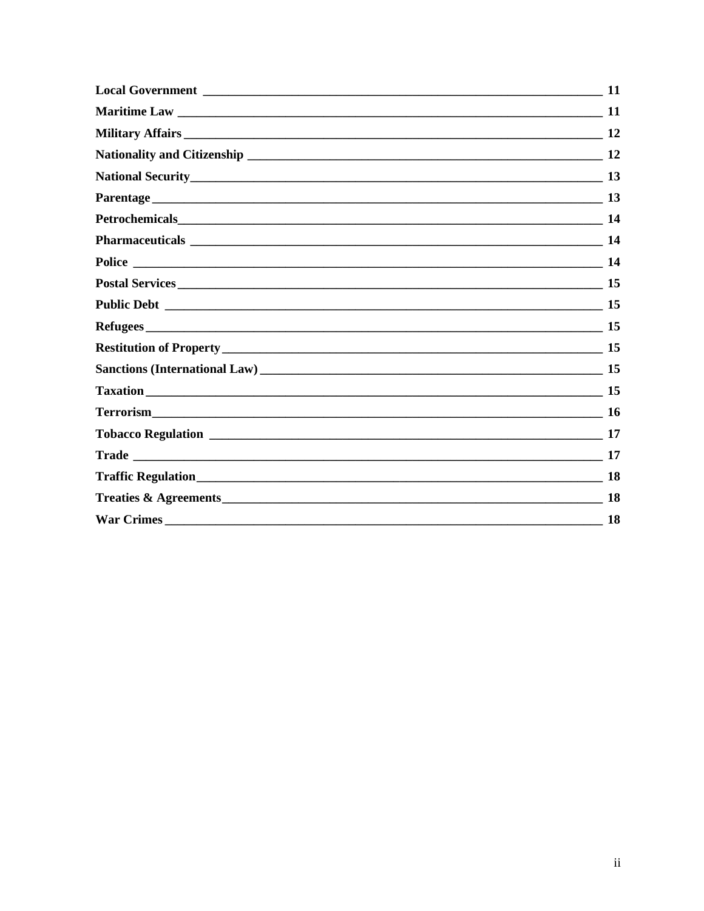|                   | 11        |
|-------------------|-----------|
|                   |           |
|                   |           |
|                   |           |
|                   |           |
|                   | <b>13</b> |
|                   |           |
|                   |           |
|                   |           |
|                   |           |
|                   |           |
|                   |           |
|                   |           |
|                   |           |
|                   |           |
|                   |           |
|                   |           |
|                   | 17        |
|                   |           |
|                   | 18        |
| <b>War Crimes</b> | 18        |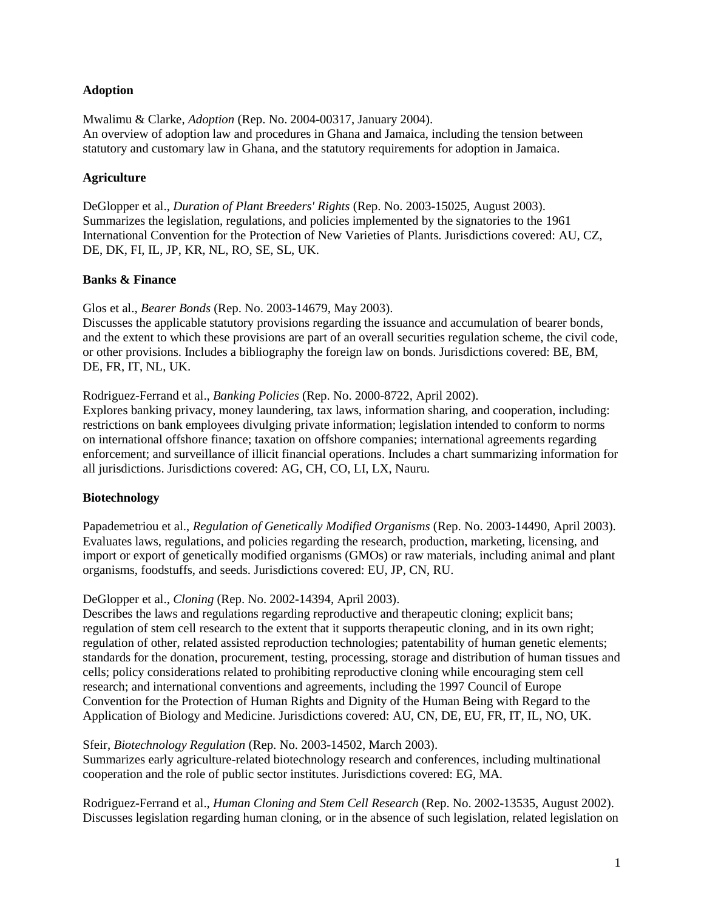#### <span id="page-4-0"></span>**Adoption**

Mwalimu & Clarke, *Adoption* (Rep. No. 2004-00317, January 2004). An overview of adoption law and procedures in Ghana and Jamaica, including the tension between statutory and customary law in Ghana, and the statutory requirements for adoption in Jamaica.

## <span id="page-4-1"></span>**Agriculture**

DeGlopper et al., *Duration of Plant Breeders' Rights* (Rep. No. 2003-15025, August 2003). Summarizes the legislation, regulations, and policies implemented by the signatories to the 1961 International Convention for the Protection of New Varieties of Plants. Jurisdictions covered: AU, CZ, DE, DK, FI, IL, JP, KR, NL, RO, SE, SL, UK.

## <span id="page-4-2"></span>**Banks & Finance**

Glos et al., *Bearer Bonds* (Rep. No. 2003-14679, May 2003).

Discusses the applicable statutory provisions regarding the issuance and accumulation of bearer bonds, and the extent to which these provisions are part of an overall securities regulation scheme, the civil code, or other provisions. Includes a bibliography the foreign law on bonds. Jurisdictions covered: BE, BM, DE, FR, IT, NL, UK.

Rodriguez-Ferrand et al., *Banking Policies* (Rep. No. 2000-8722, April 2002).

Explores banking privacy, money laundering, tax laws, information sharing, and cooperation, including: restrictions on bank employees divulging private information; legislation intended to conform to norms on international offshore finance; taxation on offshore companies; international agreements regarding enforcement; and surveillance of illicit financial operations. Includes a chart summarizing information for all jurisdictions. Jurisdictions covered: AG, CH, CO, LI, LX, Nauru.

# <span id="page-4-3"></span>**Biotechnology**

Papademetriou et al., *Regulation of Genetically Modified Organisms* (Rep. No. 2003-14490, April 2003). Evaluates laws, regulations, and policies regarding the research, production, marketing, licensing, and import or export of genetically modified organisms (GMOs) or raw materials, including animal and plant organisms, foodstuffs, and seeds. Jurisdictions covered: EU, JP, CN, RU.

#### DeGlopper et al., *Cloning* (Rep. No. 2002-14394, April 2003).

Describes the laws and regulations regarding reproductive and therapeutic cloning; explicit bans; regulation of stem cell research to the extent that it supports therapeutic cloning, and in its own right; regulation of other, related assisted reproduction technologies; patentability of human genetic elements; standards for the donation, procurement, testing, processing, storage and distribution of human tissues and cells; policy considerations related to prohibiting reproductive cloning while encouraging stem cell research; and international conventions and agreements, including the 1997 Council of Europe Convention for the Protection of Human Rights and Dignity of the Human Being with Regard to the Application of Biology and Medicine. Jurisdictions covered: AU, CN, DE, EU, FR, IT, IL, NO, UK.

Sfeir, *Biotechnology Regulation* (Rep. No. 2003-14502, March 2003).

Summarizes early agriculture-related biotechnology research and conferences, including multinational cooperation and the role of public sector institutes. Jurisdictions covered: EG, MA.

Rodriguez-Ferrand et al., *Human Cloning and Stem Cell Research* (Rep. No. 2002-13535, August 2002). Discusses legislation regarding human cloning, or in the absence of such legislation, related legislation on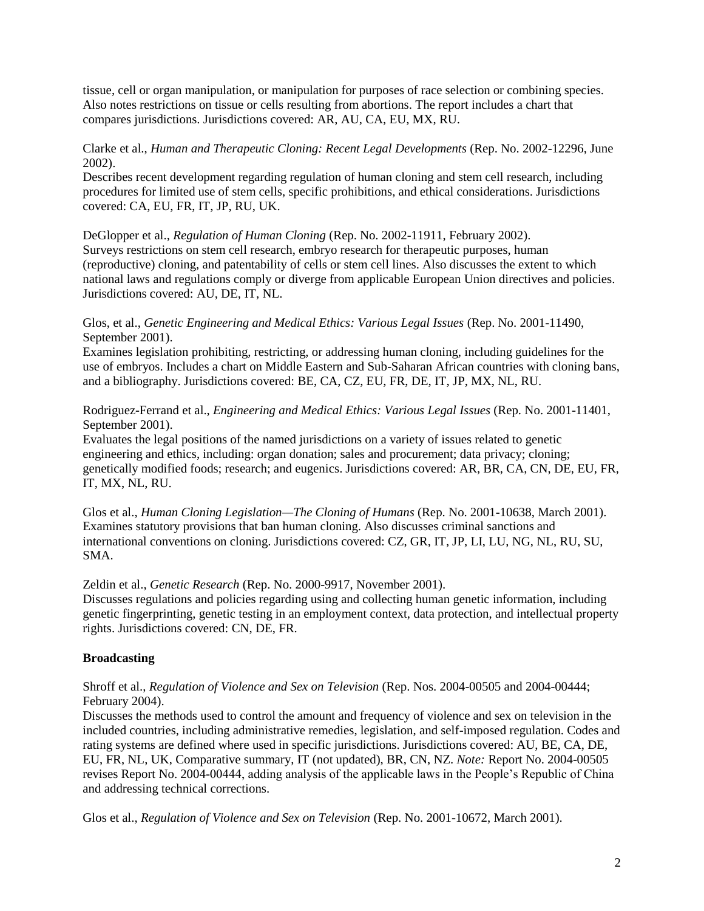tissue, cell or organ manipulation, or manipulation for purposes of race selection or combining species. Also notes restrictions on tissue or cells resulting from abortions. The report includes a chart that compares jurisdictions. Jurisdictions covered: AR, AU, CA, EU, MX, RU.

Clarke et al., *Human and Therapeutic Cloning: Recent Legal Developments* (Rep. No. 2002-12296, June 2002).

Describes recent development regarding regulation of human cloning and stem cell research, including procedures for limited use of stem cells, specific prohibitions, and ethical considerations. Jurisdictions covered: CA, EU, FR, IT, JP, RU, UK.

DeGlopper et al., *Regulation of Human Cloning* (Rep. No. 2002-11911, February 2002). Surveys restrictions on stem cell research, embryo research for therapeutic purposes, human (reproductive) cloning, and patentability of cells or stem cell lines. Also discusses the extent to which national laws and regulations comply or diverge from applicable European Union directives and policies. Jurisdictions covered: AU, DE, IT, NL.

Glos, et al., *Genetic Engineering and Medical Ethics: Various Legal Issues* (Rep. No. 2001-11490, September 2001).

Examines legislation prohibiting, restricting, or addressing human cloning, including guidelines for the use of embryos. Includes a chart on Middle Eastern and Sub-Saharan African countries with cloning bans, and a bibliography. Jurisdictions covered: BE, CA, CZ, EU, FR, DE, IT, JP, MX, NL, RU.

Rodriguez-Ferrand et al., *Engineering and Medical Ethics: Various Legal Issues* (Rep. No. 2001-11401, September 2001).

Evaluates the legal positions of the named jurisdictions on a variety of issues related to genetic engineering and ethics, including: organ donation; sales and procurement; data privacy; cloning; genetically modified foods; research; and eugenics. Jurisdictions covered: AR, BR, CA, CN, DE, EU, FR, IT, MX, NL, RU.

Glos et al., *Human Cloning Legislation—The Cloning of Humans* (Rep. No. 2001-10638, March 2001). Examines statutory provisions that ban human cloning. Also discusses criminal sanctions and international conventions on cloning. Jurisdictions covered: CZ, GR, IT, JP, LI, LU, NG, NL, RU, SU, SMA.

Zeldin et al., *Genetic Research* (Rep. No. 2000-9917, November 2001).

Discusses regulations and policies regarding using and collecting human genetic information, including genetic fingerprinting, genetic testing in an employment context, data protection, and intellectual property rights. Jurisdictions covered: CN, DE, FR.

#### <span id="page-5-0"></span>**Broadcasting**

Shroff et al., *Regulation of Violence and Sex on Television* (Rep. Nos. 2004-00505 and 2004-00444; February 2004).

Discusses the methods used to control the amount and frequency of violence and sex on television in the included countries, including administrative remedies, legislation, and self-imposed regulation. Codes and rating systems are defined where used in specific jurisdictions. Jurisdictions covered: AU, BE, CA, DE, EU, FR, NL, UK, Comparative summary, IT (not updated), BR, CN, NZ. *Note:* Report No. 2004-00505 revises Report No. 2004-00444, adding analysis of the applicable laws in the People's Republic of China and addressing technical corrections.

Glos et al., *Regulation of Violence and Sex on Television* (Rep. No. 2001-10672, March 2001).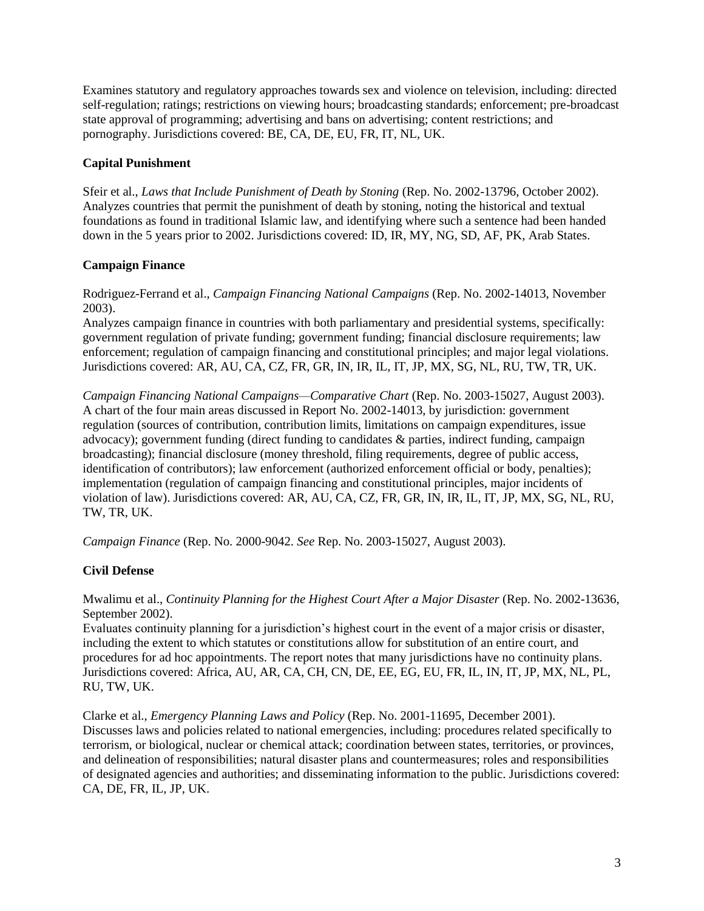Examines statutory and regulatory approaches towards sex and violence on television, including: directed self-regulation; ratings; restrictions on viewing hours; broadcasting standards; enforcement; pre-broadcast state approval of programming; advertising and bans on advertising; content restrictions; and pornography. Jurisdictions covered: BE, CA, DE, EU, FR, IT, NL, UK.

## <span id="page-6-0"></span>**Capital Punishment**

Sfeir et al., *Laws that Include Punishment of Death by Stoning* (Rep. No. 2002-13796, October 2002). Analyzes countries that permit the punishment of death by stoning, noting the historical and textual foundations as found in traditional Islamic law, and identifying where such a sentence had been handed down in the 5 years prior to 2002. Jurisdictions covered: ID, IR, MY, NG, SD, AF, PK, Arab States.

## <span id="page-6-1"></span>**Campaign Finance**

Rodriguez-Ferrand et al., *Campaign Financing National Campaigns* (Rep. No. 2002-14013, November 2003).

Analyzes campaign finance in countries with both parliamentary and presidential systems, specifically: government regulation of private funding; government funding; financial disclosure requirements; law enforcement; regulation of campaign financing and constitutional principles; and major legal violations. Jurisdictions covered: AR, AU, CA, CZ, FR, GR, IN, IR, IL, IT, JP, MX, SG, NL, RU, TW, TR, UK.

*Campaign Financing National Campaigns—Comparative Chart* (Rep. No. 2003-15027, August 2003). A chart of the four main areas discussed in Report No. 2002-14013, by jurisdiction: government regulation (sources of contribution, contribution limits, limitations on campaign expenditures, issue advocacy); government funding (direct funding to candidates & parties, indirect funding, campaign broadcasting); financial disclosure (money threshold, filing requirements, degree of public access, identification of contributors); law enforcement (authorized enforcement official or body, penalties); implementation (regulation of campaign financing and constitutional principles, major incidents of violation of law). Jurisdictions covered: AR, AU, CA, CZ, FR, GR, IN, IR, IL, IT, JP, MX, SG, NL, RU, TW, TR, UK.

*Campaign Finance* (Rep. No. 2000-9042. *See* Rep. No. 2003-15027, August 2003).

# <span id="page-6-2"></span>**Civil Defense**

Mwalimu et al., *Continuity Planning for the Highest Court After a Major Disaster* (Rep. No. 2002-13636, September 2002).

Evaluates continuity planning for a jurisdiction's highest court in the event of a major crisis or disaster, including the extent to which statutes or constitutions allow for substitution of an entire court, and procedures for ad hoc appointments. The report notes that many jurisdictions have no continuity plans. Jurisdictions covered: Africa, AU, AR, CA, CH, CN, DE, EE, EG, EU, FR, IL, IN, IT, JP, MX, NL, PL, RU, TW, UK.

Clarke et al., *Emergency Planning Laws and Policy* (Rep. No. 2001-11695, December 2001). Discusses laws and policies related to national emergencies, including: procedures related specifically to terrorism, or biological, nuclear or chemical attack; coordination between states, territories, or provinces, and delineation of responsibilities; natural disaster plans and countermeasures; roles and responsibilities of designated agencies and authorities; and disseminating information to the public. Jurisdictions covered: CA, DE, FR, IL, JP, UK.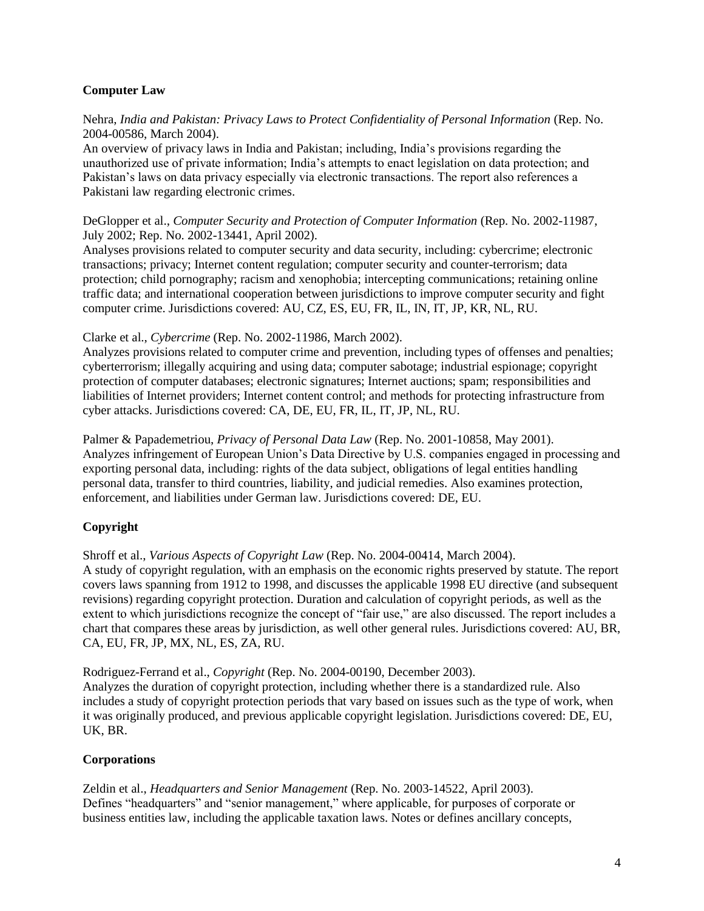## <span id="page-7-0"></span>**Computer Law**

Nehra, *India and Pakistan: Privacy Laws to Protect Confidentiality of Personal Information* (Rep. No. 2004-00586, March 2004).

An overview of privacy laws in India and Pakistan; including, India's provisions regarding the unauthorized use of private information; India's attempts to enact legislation on data protection; and Pakistan's laws on data privacy especially via electronic transactions. The report also references a Pakistani law regarding electronic crimes.

DeGlopper et al., *Computer Security and Protection of Computer Information* (Rep. No. 2002-11987, July 2002; Rep. No. 2002-13441, April 2002).

Analyses provisions related to computer security and data security, including: cybercrime; electronic transactions; privacy; Internet content regulation; computer security and counter-terrorism; data protection; child pornography; racism and xenophobia; intercepting communications; retaining online traffic data; and international cooperation between jurisdictions to improve computer security and fight computer crime. Jurisdictions covered: AU, CZ, ES, EU, FR, IL, IN, IT, JP, KR, NL, RU.

Clarke et al., *Cybercrime* (Rep. No. 2002-11986, March 2002).

Analyzes provisions related to computer crime and prevention, including types of offenses and penalties; cyberterrorism; illegally acquiring and using data; computer sabotage; industrial espionage; copyright protection of computer databases; electronic signatures; Internet auctions; spam; responsibilities and liabilities of Internet providers; Internet content control; and methods for protecting infrastructure from cyber attacks. Jurisdictions covered: CA, DE, EU, FR, IL, IT, JP, NL, RU.

Palmer & Papademetriou, *Privacy of Personal Data Law* (Rep. No. 2001-10858, May 2001). Analyzes infringement of European Union's Data Directive by U.S. companies engaged in processing and exporting personal data, including: rights of the data subject, obligations of legal entities handling personal data, transfer to third countries, liability, and judicial remedies. Also examines protection, enforcement, and liabilities under German law. Jurisdictions covered: DE, EU.

# <span id="page-7-1"></span>**Copyright**

Shroff et al., *Various Aspects of Copyright Law* (Rep. No. 2004-00414, March 2004). A study of copyright regulation, with an emphasis on the economic rights preserved by statute. The report covers laws spanning from 1912 to 1998, and discusses the applicable 1998 EU directive (and subsequent revisions) regarding copyright protection. Duration and calculation of copyright periods, as well as the extent to which jurisdictions recognize the concept of "fair use," are also discussed. The report includes a chart that compares these areas by jurisdiction, as well other general rules. Jurisdictions covered: AU, BR, CA, EU, FR, JP, MX, NL, ES, ZA, RU.

Rodriguez-Ferrand et al., *Copyright* (Rep. No. 2004-00190, December 2003). Analyzes the duration of copyright protection, including whether there is a standardized rule. Also includes a study of copyright protection periods that vary based on issues such as the type of work, when it was originally produced, and previous applicable copyright legislation. Jurisdictions covered: DE, EU, UK, BR.

# <span id="page-7-2"></span>**Corporations**

Zeldin et al., *Headquarters and Senior Management* (Rep. No. 2003-14522, April 2003). Defines "headquarters" and "senior management," where applicable, for purposes of corporate or business entities law, including the applicable taxation laws. Notes or defines ancillary concepts,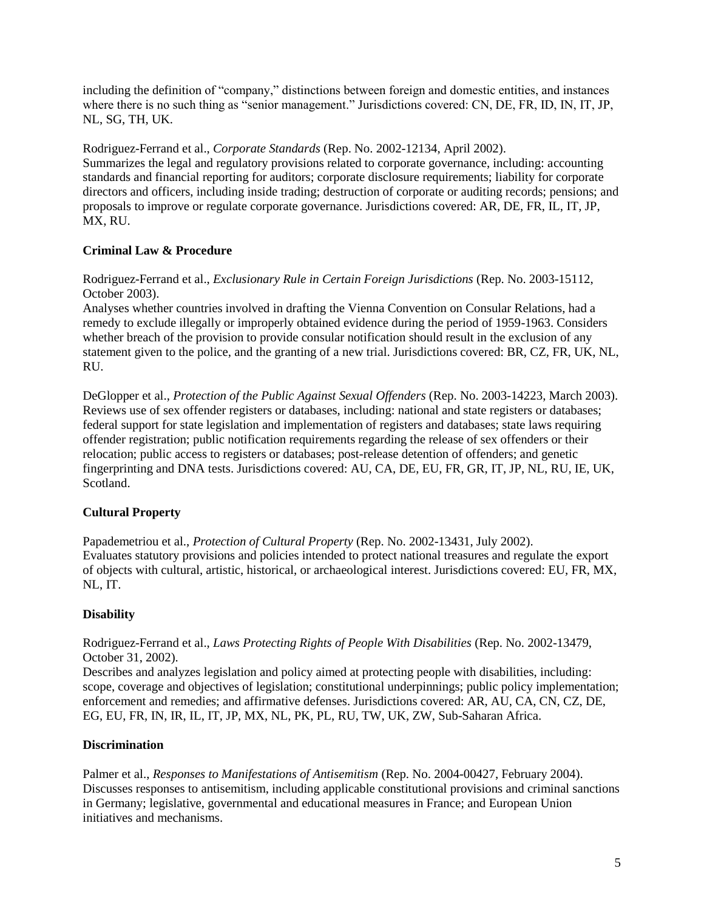including the definition of "company," distinctions between foreign and domestic entities, and instances where there is no such thing as "senior management." Jurisdictions covered: CN, DE, FR, ID, IN, IT, JP, NL, SG, TH, UK.

Rodriguez-Ferrand et al., *Corporate Standards* (Rep. No. 2002-12134, April 2002). Summarizes the legal and regulatory provisions related to corporate governance, including: accounting standards and financial reporting for auditors; corporate disclosure requirements; liability for corporate directors and officers, including inside trading; destruction of corporate or auditing records; pensions; and proposals to improve or regulate corporate governance. Jurisdictions covered: AR, DE, FR, IL, IT, JP, MX, RU.

# <span id="page-8-0"></span>**Criminal Law & Procedure**

Rodriguez-Ferrand et al., *Exclusionary Rule in Certain Foreign Jurisdictions* (Rep. No. 2003-15112, October 2003).

Analyses whether countries involved in drafting the Vienna Convention on Consular Relations, had a remedy to exclude illegally or improperly obtained evidence during the period of 1959-1963. Considers whether breach of the provision to provide consular notification should result in the exclusion of any statement given to the police, and the granting of a new trial. Jurisdictions covered: BR, CZ, FR, UK, NL, RU.

DeGlopper et al., *Protection of the Public Against Sexual Offenders* (Rep. No. 2003-14223, March 2003). Reviews use of sex offender registers or databases, including: national and state registers or databases; federal support for state legislation and implementation of registers and databases; state laws requiring offender registration; public notification requirements regarding the release of sex offenders or their relocation; public access to registers or databases; post-release detention of offenders; and genetic fingerprinting and DNA tests. Jurisdictions covered: AU, CA, DE, EU, FR, GR, IT, JP, NL, RU, IE, UK, Scotland.

# <span id="page-8-1"></span>**Cultural Property**

Papademetriou et al., *Protection of Cultural Property* (Rep. No. 2002-13431, July 2002). Evaluates statutory provisions and policies intended to protect national treasures and regulate the export of objects with cultural, artistic, historical, or archaeological interest. Jurisdictions covered: EU, FR, MX, NL, IT.

# <span id="page-8-2"></span>**Disability**

Rodriguez-Ferrand et al., *Laws Protecting Rights of People With Disabilities* (Rep. No. 2002-13479, October 31, 2002).

Describes and analyzes legislation and policy aimed at protecting people with disabilities, including: scope, coverage and objectives of legislation; constitutional underpinnings; public policy implementation; enforcement and remedies; and affirmative defenses. Jurisdictions covered: AR, AU, CA, CN, CZ, DE, EG, EU, FR, IN, IR, IL, IT, JP, MX, NL, PK, PL, RU, TW, UK, ZW, Sub-Saharan Africa.

# <span id="page-8-3"></span>**Discrimination**

Palmer et al., *Responses to Manifestations of Antisemitism* (Rep. No. 2004-00427, February 2004). Discusses responses to antisemitism, including applicable constitutional provisions and criminal sanctions in Germany; legislative, governmental and educational measures in France; and European Union initiatives and mechanisms.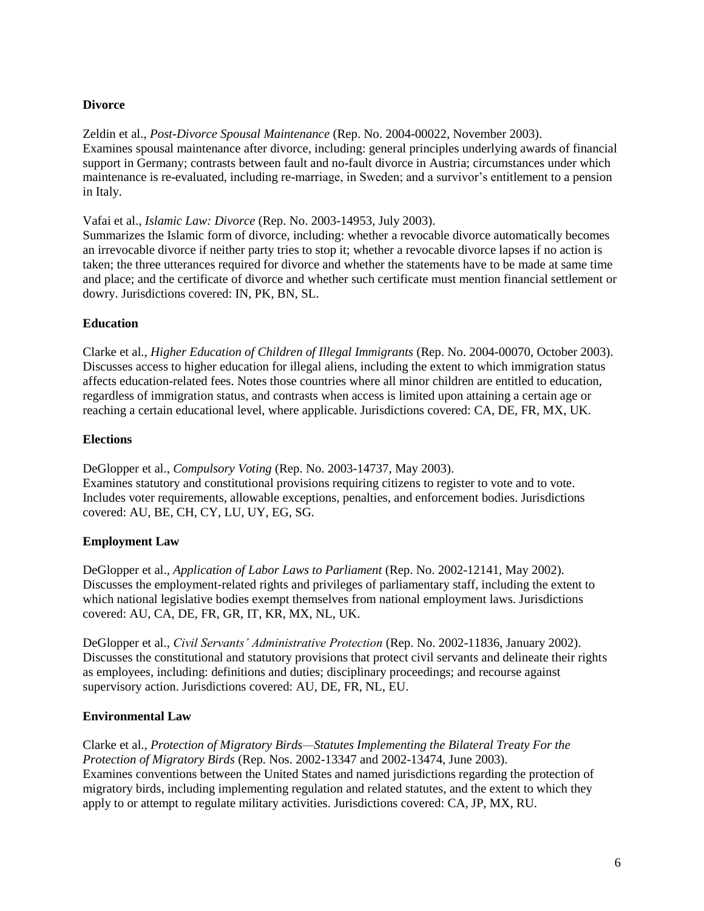## <span id="page-9-0"></span>**Divorce**

Zeldin et al., *Post-Divorce Spousal Maintenance* (Rep. No. 2004-00022, November 2003). Examines spousal maintenance after divorce, including: general principles underlying awards of financial support in Germany; contrasts between fault and no-fault divorce in Austria; circumstances under which maintenance is re-evaluated, including re-marriage, in Sweden; and a survivor's entitlement to a pension in Italy.

Vafai et al., *Islamic Law: Divorce* (Rep. No. 2003-14953, July 2003).

Summarizes the Islamic form of divorce, including: whether a revocable divorce automatically becomes an irrevocable divorce if neither party tries to stop it; whether a revocable divorce lapses if no action is taken; the three utterances required for divorce and whether the statements have to be made at same time and place; and the certificate of divorce and whether such certificate must mention financial settlement or dowry. Jurisdictions covered: IN, PK, BN, SL.

# <span id="page-9-1"></span>**Education**

Clarke et al., *Higher Education of Children of Illegal Immigrants* (Rep. No. 2004-00070, October 2003). Discusses access to higher education for illegal aliens, including the extent to which immigration status affects education-related fees. Notes those countries where all minor children are entitled to education, regardless of immigration status, and contrasts when access is limited upon attaining a certain age or reaching a certain educational level, where applicable. Jurisdictions covered: CA, DE, FR, MX, UK.

## <span id="page-9-2"></span>**Elections**

DeGlopper et al., *Compulsory Voting* (Rep. No. 2003-14737, May 2003). Examines statutory and constitutional provisions requiring citizens to register to vote and to vote. Includes voter requirements, allowable exceptions, penalties, and enforcement bodies. Jurisdictions covered: AU, BE, CH, CY, LU, UY, EG, SG.

# <span id="page-9-3"></span>**Employment Law**

DeGlopper et al., *Application of Labor Laws to Parliament* (Rep. No. 2002-12141, May 2002). Discusses the employment-related rights and privileges of parliamentary staff, including the extent to which national legislative bodies exempt themselves from national employment laws. Jurisdictions covered: AU, CA, DE, FR, GR, IT, KR, MX, NL, UK.

DeGlopper et al., *Civil Servants' Administrative Protection* (Rep. No. 2002-11836, January 2002). Discusses the constitutional and statutory provisions that protect civil servants and delineate their rights as employees, including: definitions and duties; disciplinary proceedings; and recourse against supervisory action. Jurisdictions covered: AU, DE, FR, NL, EU.

# <span id="page-9-4"></span>**Environmental Law**

Clarke et al., *Protection of Migratory Birds—Statutes Implementing the Bilateral Treaty For the Protection of Migratory Birds* (Rep. Nos. 2002-13347 and 2002-13474, June 2003). Examines conventions between the United States and named jurisdictions regarding the protection of migratory birds, including implementing regulation and related statutes, and the extent to which they apply to or attempt to regulate military activities. Jurisdictions covered: CA, JP, MX, RU.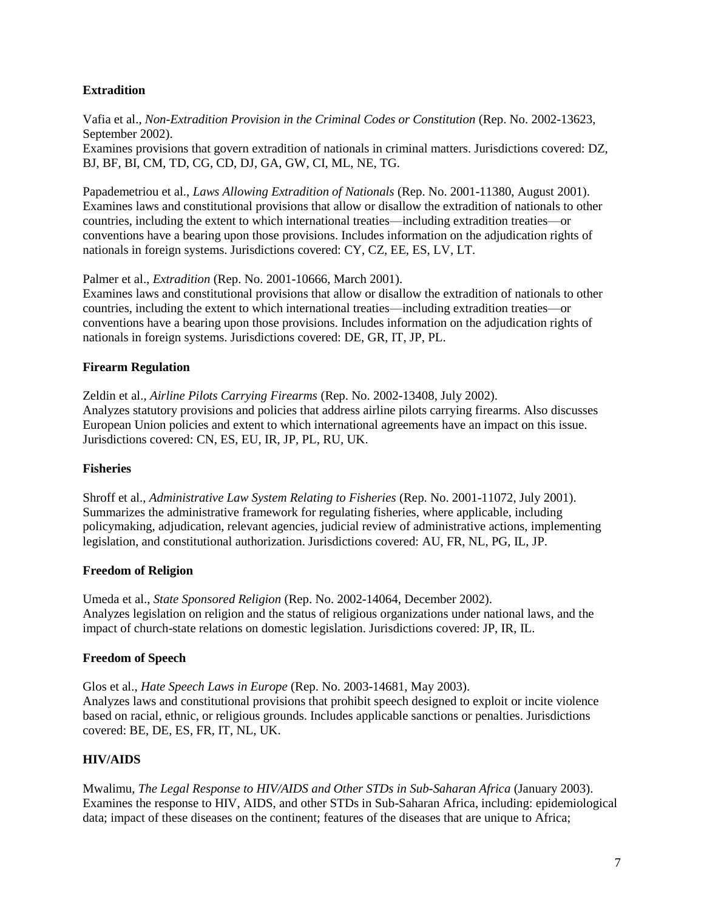## <span id="page-10-0"></span>**Extradition**

Vafia et al., *Non-Extradition Provision in the Criminal Codes or Constitution* (Rep. No. 2002-13623, September 2002). Examines provisions that govern extradition of nationals in criminal matters. Jurisdictions covered: DZ, BJ, BF, BI, CM, TD, CG, CD, DJ, GA, GW, CI, ML, NE, TG.

Papademetriou et al., *Laws Allowing Extradition of Nationals* (Rep. No. 2001-11380, August 2001). Examines laws and constitutional provisions that allow or disallow the extradition of nationals to other countries, including the extent to which international treaties—including extradition treaties—or conventions have a bearing upon those provisions. Includes information on the adjudication rights of nationals in foreign systems. Jurisdictions covered: CY, CZ, EE, ES, LV, LT.

Palmer et al., *Extradition* (Rep. No. 2001-10666, March 2001).

Examines laws and constitutional provisions that allow or disallow the extradition of nationals to other countries, including the extent to which international treaties—including extradition treaties—or conventions have a bearing upon those provisions. Includes information on the adjudication rights of nationals in foreign systems. Jurisdictions covered: DE, GR, IT, JP, PL.

#### <span id="page-10-1"></span>**Firearm Regulation**

Zeldin et al., *Airline Pilots Carrying Firearms* (Rep. No. 2002-13408, July 2002). Analyzes statutory provisions and policies that address airline pilots carrying firearms. Also discusses European Union policies and extent to which international agreements have an impact on this issue. Jurisdictions covered: CN, ES, EU, IR, JP, PL, RU, UK.

#### <span id="page-10-2"></span>**Fisheries**

Shroff et al., *Administrative Law System Relating to Fisheries* (Rep. No. 2001-11072, July 2001). Summarizes the administrative framework for regulating fisheries, where applicable, including policymaking, adjudication, relevant agencies, judicial review of administrative actions, implementing legislation, and constitutional authorization. Jurisdictions covered: AU, FR, NL, PG, IL, JP.

#### <span id="page-10-3"></span>**Freedom of Religion**

Umeda et al., *State Sponsored Religion* (Rep. No. 2002-14064, December 2002). Analyzes legislation on religion and the status of religious organizations under national laws, and the impact of church-state relations on domestic legislation. Jurisdictions covered: JP, IR, IL.

#### <span id="page-10-4"></span>**Freedom of Speech**

Glos et al., *Hate Speech Laws in Europe* (Rep. No. 2003-14681, May 2003). Analyzes laws and constitutional provisions that prohibit speech designed to exploit or incite violence based on racial, ethnic, or religious grounds. Includes applicable sanctions or penalties. Jurisdictions covered: BE, DE, ES, FR, IT, NL, UK.

# <span id="page-10-5"></span>**HIV/AIDS**

Mwalimu, *The Legal Response to HIV/AIDS and Other STDs in Sub-Saharan Africa* (January 2003). Examines the response to HIV, AIDS, and other STDs in Sub-Saharan Africa, including: epidemiological data; impact of these diseases on the continent; features of the diseases that are unique to Africa;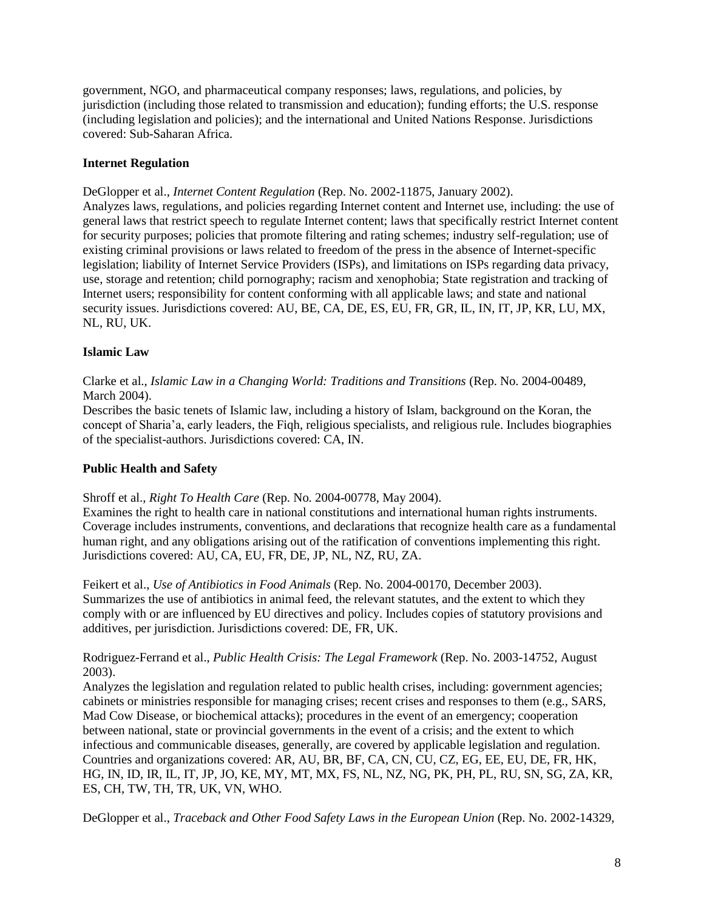government, NGO, and pharmaceutical company responses; laws, regulations, and policies, by jurisdiction (including those related to transmission and education); funding efforts; the U.S. response (including legislation and policies); and the international and United Nations Response. Jurisdictions covered: Sub-Saharan Africa.

## <span id="page-11-0"></span>**Internet Regulation**

DeGlopper et al., *Internet Content Regulation* (Rep. No. 2002-11875, January 2002).

Analyzes laws, regulations, and policies regarding Internet content and Internet use, including: the use of general laws that restrict speech to regulate Internet content; laws that specifically restrict Internet content for security purposes; policies that promote filtering and rating schemes; industry self-regulation; use of existing criminal provisions or laws related to freedom of the press in the absence of Internet-specific legislation; liability of Internet Service Providers (ISPs), and limitations on ISPs regarding data privacy, use, storage and retention; child pornography; racism and xenophobia; State registration and tracking of Internet users; responsibility for content conforming with all applicable laws; and state and national security issues. Jurisdictions covered: AU, BE, CA, DE, ES, EU, FR, GR, IL, IN, IT, JP, KR, LU, MX, NL, RU, UK.

# <span id="page-11-1"></span>**Islamic Law**

Clarke et al., *Islamic Law in a Changing World: Traditions and Transitions* (Rep. No. 2004-00489, March 2004).

Describes the basic tenets of Islamic law, including a history of Islam, background on the Koran, the concept of Sharia'a, early leaders, the Fiqh, religious specialists, and religious rule. Includes biographies of the specialist-authors. Jurisdictions covered: CA, IN.

# <span id="page-11-2"></span>**Public Health and Safety**

Shroff et al., *Right To Health Care* (Rep. No. 2004-00778, May 2004).

Examines the right to health care in national constitutions and international human rights instruments. Coverage includes instruments, conventions, and declarations that recognize health care as a fundamental human right, and any obligations arising out of the ratification of conventions implementing this right. Jurisdictions covered: AU, CA, EU, FR, DE, JP, NL, NZ, RU, ZA.

Feikert et al., *Use of Antibiotics in Food Animals* (Rep. No. 2004-00170, December 2003). Summarizes the use of antibiotics in animal feed, the relevant statutes, and the extent to which they comply with or are influenced by EU directives and policy. Includes copies of statutory provisions and additives, per jurisdiction. Jurisdictions covered: DE, FR, UK.

#### Rodriguez-Ferrand et al., *Public Health Crisis: The Legal Framework* (Rep. No. 2003-14752, August 2003).

Analyzes the legislation and regulation related to public health crises, including: government agencies; cabinets or ministries responsible for managing crises; recent crises and responses to them (e.g., SARS, Mad Cow Disease, or biochemical attacks); procedures in the event of an emergency; cooperation between national, state or provincial governments in the event of a crisis; and the extent to which infectious and communicable diseases, generally, are covered by applicable legislation and regulation. Countries and organizations covered: AR, AU, BR, BF, CA, CN, CU, CZ, EG, EE, EU, DE, FR, HK, HG, IN, ID, IR, IL, IT, JP, JO, KE, MY, MT, MX, FS, NL, NZ, NG, PK, PH, PL, RU, SN, SG, ZA, KR, ES, CH, TW, TH, TR, UK, VN, WHO.

DeGlopper et al., *Traceback and Other Food Safety Laws in the European Union* (Rep. No. 2002-14329,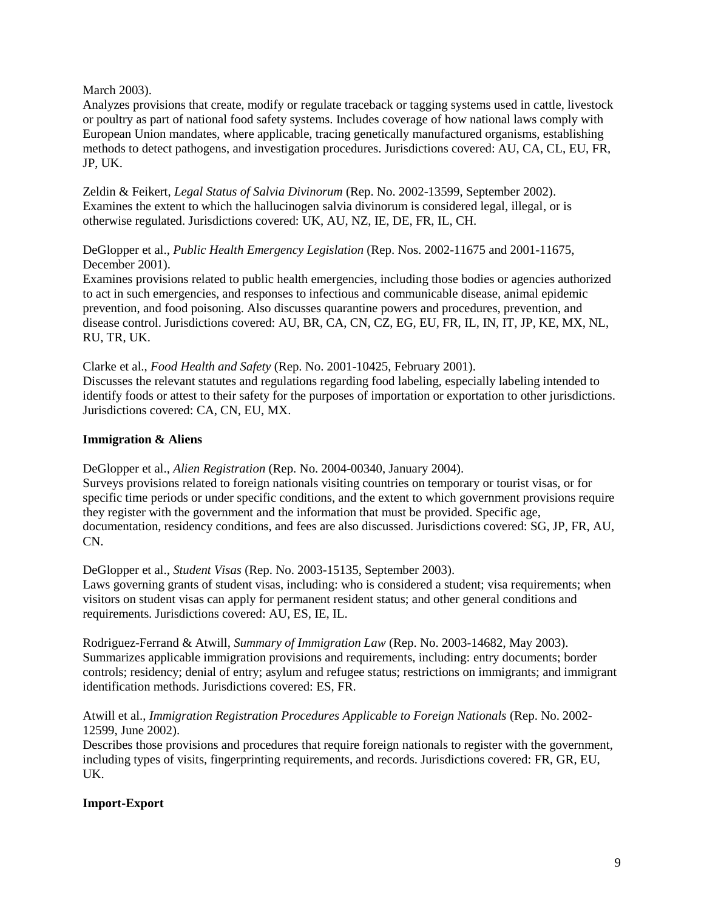#### March 2003).

Analyzes provisions that create, modify or regulate traceback or tagging systems used in cattle, livestock or poultry as part of national food safety systems. Includes coverage of how national laws comply with European Union mandates, where applicable, tracing genetically manufactured organisms, establishing methods to detect pathogens, and investigation procedures. Jurisdictions covered: AU, CA, CL, EU, FR, JP, UK.

Zeldin & Feikert, *Legal Status of Salvia Divinorum* (Rep. No. 2002-13599, September 2002). Examines the extent to which the hallucinogen salvia divinorum is considered legal, illegal, or is otherwise regulated. Jurisdictions covered: UK, AU, NZ, IE, DE, FR, IL, CH.

DeGlopper et al., *Public Health Emergency Legislation* (Rep. Nos. 2002-11675 and 2001-11675, December 2001).

Examines provisions related to public health emergencies, including those bodies or agencies authorized to act in such emergencies, and responses to infectious and communicable disease, animal epidemic prevention, and food poisoning. Also discusses quarantine powers and procedures, prevention, and disease control. Jurisdictions covered: AU, BR, CA, CN, CZ, EG, EU, FR, IL, IN, IT, JP, KE, MX, NL, RU, TR, UK.

Clarke et al., *Food Health and Safety* (Rep. No. 2001-10425, February 2001). Discusses the relevant statutes and regulations regarding food labeling, especially labeling intended to identify foods or attest to their safety for the purposes of importation or exportation to other jurisdictions. Jurisdictions covered: CA, CN, EU, MX.

# <span id="page-12-0"></span>**Immigration & Aliens**

DeGlopper et al., *Alien Registration* (Rep. No. 2004-00340, January 2004).

Surveys provisions related to foreign nationals visiting countries on temporary or tourist visas, or for specific time periods or under specific conditions, and the extent to which government provisions require they register with the government and the information that must be provided. Specific age, documentation, residency conditions, and fees are also discussed. Jurisdictions covered: SG, JP, FR, AU, CN.

DeGlopper et al., *Student Visas* (Rep. No. 2003-15135, September 2003).

Laws governing grants of student visas, including: who is considered a student; visa requirements; when visitors on student visas can apply for permanent resident status; and other general conditions and requirements. Jurisdictions covered: AU, ES, IE, IL.

Rodriguez-Ferrand & Atwill, *Summary of Immigration Law* (Rep. No. 2003-14682, May 2003). Summarizes applicable immigration provisions and requirements, including: entry documents; border controls; residency; denial of entry; asylum and refugee status; restrictions on immigrants; and immigrant identification methods. Jurisdictions covered: ES, FR.

Atwill et al., *Immigration Registration Procedures Applicable to Foreign Nationals* (Rep. No. 2002- 12599, June 2002).

Describes those provisions and procedures that require foreign nationals to register with the government, including types of visits, fingerprinting requirements, and records. Jurisdictions covered: FR, GR, EU, UK.

# <span id="page-12-1"></span>**Import-Export**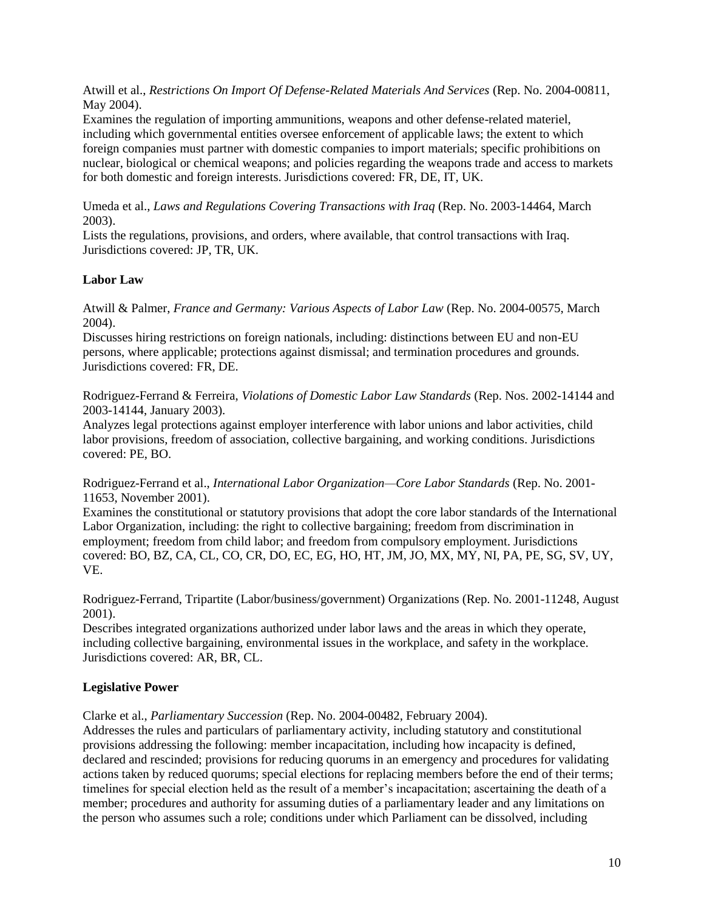Atwill et al., *Restrictions On Import Of Defense-Related Materials And Services* (Rep. No. 2004-00811, May 2004).

Examines the regulation of importing ammunitions, weapons and other defense-related materiel, including which governmental entities oversee enforcement of applicable laws; the extent to which foreign companies must partner with domestic companies to import materials; specific prohibitions on nuclear, biological or chemical weapons; and policies regarding the weapons trade and access to markets for both domestic and foreign interests. Jurisdictions covered: FR, DE, IT, UK.

Umeda et al., *Laws and Regulations Covering Transactions with Iraq* (Rep. No. 2003-14464, March 2003).

Lists the regulations, provisions, and orders, where available, that control transactions with Iraq. Jurisdictions covered: JP, TR, UK.

## <span id="page-13-0"></span>**Labor Law**

Atwill & Palmer, *France and Germany: Various Aspects of Labor Law* (Rep. No. 2004-00575, March 2004).

Discusses hiring restrictions on foreign nationals, including: distinctions between EU and non-EU persons, where applicable; protections against dismissal; and termination procedures and grounds. Jurisdictions covered: FR, DE.

Rodriguez-Ferrand & Ferreira, *Violations of Domestic Labor Law Standards* (Rep. Nos. 2002-14144 and 2003-14144, January 2003).

Analyzes legal protections against employer interference with labor unions and labor activities, child labor provisions, freedom of association, collective bargaining, and working conditions. Jurisdictions covered: PE, BO.

Rodriguez-Ferrand et al., *International Labor Organization—Core Labor Standards* (Rep. No. 2001- 11653, November 2001).

Examines the constitutional or statutory provisions that adopt the core labor standards of the International Labor Organization, including: the right to collective bargaining; freedom from discrimination in employment; freedom from child labor; and freedom from compulsory employment. Jurisdictions covered: BO, BZ, CA, CL, CO, CR, DO, EC, EG, HO, HT, JM, JO, MX, MY, NI, PA, PE, SG, SV, UY, VE.

Rodriguez-Ferrand, Tripartite (Labor/business/government) Organizations (Rep. No. 2001-11248, August 2001).

Describes integrated organizations authorized under labor laws and the areas in which they operate, including collective bargaining, environmental issues in the workplace, and safety in the workplace. Jurisdictions covered: AR, BR, CL.

#### <span id="page-13-1"></span>**Legislative Power**

Clarke et al., *Parliamentary Succession* (Rep. No. 2004-00482, February 2004).

Addresses the rules and particulars of parliamentary activity, including statutory and constitutional provisions addressing the following: member incapacitation, including how incapacity is defined, declared and rescinded; provisions for reducing quorums in an emergency and procedures for validating actions taken by reduced quorums; special elections for replacing members before the end of their terms; timelines for special election held as the result of a member's incapacitation; ascertaining the death of a member; procedures and authority for assuming duties of a parliamentary leader and any limitations on the person who assumes such a role; conditions under which Parliament can be dissolved, including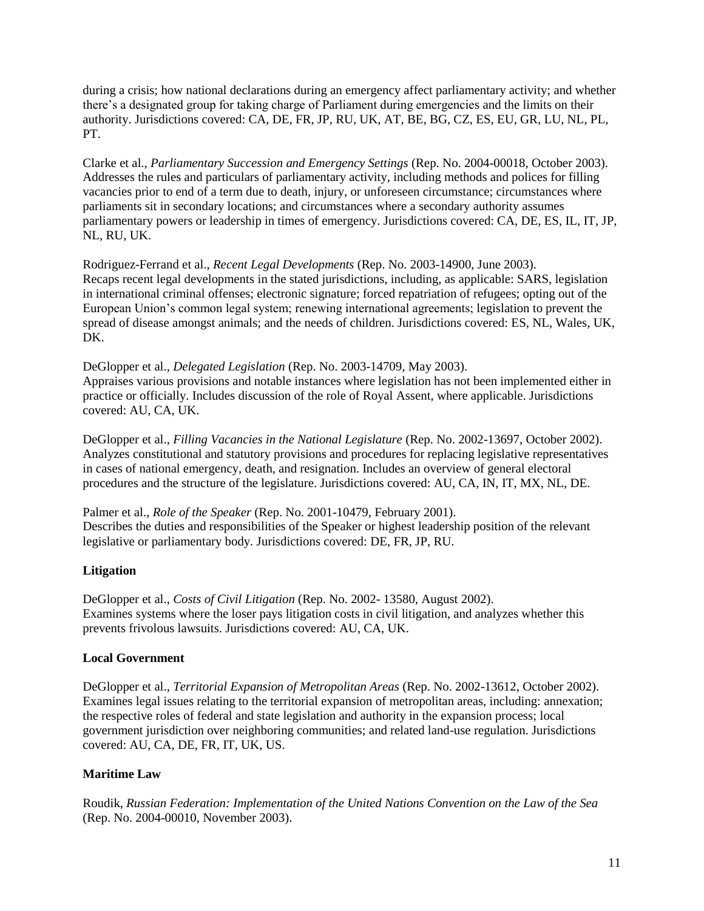during a crisis; how national declarations during an emergency affect parliamentary activity; and whether there's a designated group for taking charge of Parliament during emergencies and the limits on their authority. Jurisdictions covered: CA, DE, FR, JP, RU, UK, AT, BE, BG, CZ, ES, EU, GR, LU, NL, PL, PT.

Clarke et al., *Parliamentary Succession and Emergency Settings* (Rep. No. 2004-00018, October 2003). Addresses the rules and particulars of parliamentary activity, including methods and polices for filling vacancies prior to end of a term due to death, injury, or unforeseen circumstance; circumstances where parliaments sit in secondary locations; and circumstances where a secondary authority assumes parliamentary powers or leadership in times of emergency. Jurisdictions covered: CA, DE, ES, IL, IT, JP, NL, RU, UK.

Rodriguez-Ferrand et al., *Recent Legal Developments* (Rep. No. 2003-14900, June 2003). Recaps recent legal developments in the stated jurisdictions, including, as applicable: SARS, legislation in international criminal offenses; electronic signature; forced repatriation of refugees; opting out of the European Union's common legal system; renewing international agreements; legislation to prevent the spread of disease amongst animals; and the needs of children. Jurisdictions covered: ES, NL, Wales, UK, DK.

DeGlopper et al., *Delegated Legislation* (Rep. No. 2003-14709, May 2003). Appraises various provisions and notable instances where legislation has not been implemented either in practice or officially. Includes discussion of the role of Royal Assent, where applicable. Jurisdictions covered: AU, CA, UK.

DeGlopper et al., *Filling Vacancies in the National Legislature* (Rep. No. 2002-13697, October 2002). Analyzes constitutional and statutory provisions and procedures for replacing legislative representatives in cases of national emergency, death, and resignation. Includes an overview of general electoral procedures and the structure of the legislature. Jurisdictions covered: AU, CA, IN, IT, MX, NL, DE.

Palmer et al., *Role of the Speaker* (Rep. No. 2001-10479, February 2001). Describes the duties and responsibilities of the Speaker or highest leadership position of the relevant legislative or parliamentary body. Jurisdictions covered: DE, FR, JP, RU.

# <span id="page-14-0"></span>**Litigation**

DeGlopper et al., *Costs of Civil Litigation* (Rep. No. 2002- 13580, August 2002). Examines systems where the loser pays litigation costs in civil litigation, and analyzes whether this prevents frivolous lawsuits. Jurisdictions covered: AU, CA, UK.

#### <span id="page-14-1"></span>**Local Government**

DeGlopper et al., *Territorial Expansion of Metropolitan Areas* (Rep. No. 2002-13612, October 2002). Examines legal issues relating to the territorial expansion of metropolitan areas, including: annexation; the respective roles of federal and state legislation and authority in the expansion process; local government jurisdiction over neighboring communities; and related land-use regulation. Jurisdictions covered: AU, CA, DE, FR, IT, UK, US.

#### <span id="page-14-2"></span>**Maritime Law**

Roudik, *Russian Federation: Implementation of the United Nations Convention on the Law of the Sea* (Rep. No. 2004-00010, November 2003).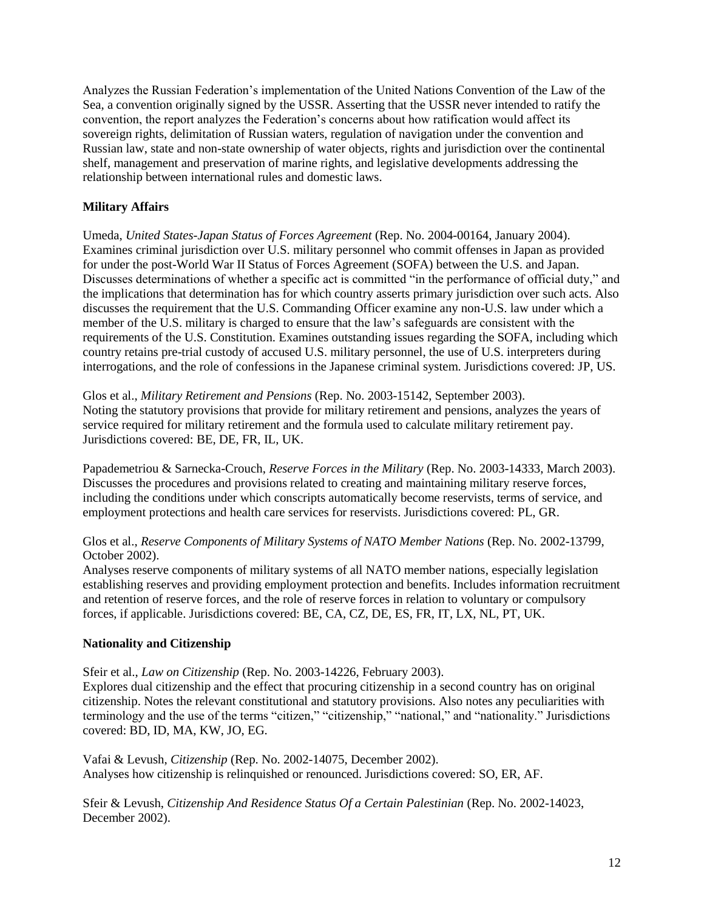Analyzes the Russian Federation's implementation of the United Nations Convention of the Law of the Sea, a convention originally signed by the USSR. Asserting that the USSR never intended to ratify the convention, the report analyzes the Federation's concerns about how ratification would affect its sovereign rights, delimitation of Russian waters, regulation of navigation under the convention and Russian law, state and non-state ownership of water objects, rights and jurisdiction over the continental shelf, management and preservation of marine rights, and legislative developments addressing the relationship between international rules and domestic laws.

## <span id="page-15-0"></span>**Military Affairs**

Umeda, *United States-Japan Status of Forces Agreement* (Rep. No. 2004-00164, January 2004). Examines criminal jurisdiction over U.S. military personnel who commit offenses in Japan as provided for under the post-World War II Status of Forces Agreement (SOFA) between the U.S. and Japan. Discusses determinations of whether a specific act is committed "in the performance of official duty," and the implications that determination has for which country asserts primary jurisdiction over such acts. Also discusses the requirement that the U.S. Commanding Officer examine any non-U.S. law under which a member of the U.S. military is charged to ensure that the law's safeguards are consistent with the requirements of the U.S. Constitution. Examines outstanding issues regarding the SOFA, including which country retains pre-trial custody of accused U.S. military personnel, the use of U.S. interpreters during interrogations, and the role of confessions in the Japanese criminal system. Jurisdictions covered: JP, US.

Glos et al., *Military Retirement and Pensions* (Rep. No. 2003-15142, September 2003). Noting the statutory provisions that provide for military retirement and pensions, analyzes the years of service required for military retirement and the formula used to calculate military retirement pay. Jurisdictions covered: BE, DE, FR, IL, UK.

Papademetriou & Sarnecka-Crouch, *Reserve Forces in the Military* (Rep. No. 2003-14333, March 2003). Discusses the procedures and provisions related to creating and maintaining military reserve forces, including the conditions under which conscripts automatically become reservists, terms of service, and employment protections and health care services for reservists. Jurisdictions covered: PL, GR.

Glos et al., *Reserve Components of Military Systems of NATO Member Nations* (Rep. No. 2002-13799, October 2002).

Analyses reserve components of military systems of all NATO member nations, especially legislation establishing reserves and providing employment protection and benefits. Includes information recruitment and retention of reserve forces, and the role of reserve forces in relation to voluntary or compulsory forces, if applicable. Jurisdictions covered: BE, CA, CZ, DE, ES, FR, IT, LX, NL, PT, UK.

# <span id="page-15-1"></span>**Nationality and Citizenship**

Sfeir et al., *Law on Citizenship* (Rep. No. 2003-14226, February 2003).

Explores dual citizenship and the effect that procuring citizenship in a second country has on original citizenship. Notes the relevant constitutional and statutory provisions. Also notes any peculiarities with terminology and the use of the terms "citizen," "citizenship," "national," and "nationality." Jurisdictions covered: BD, ID, MA, KW, JO, EG.

Vafai & Levush, *Citizenship* (Rep. No. 2002-14075, December 2002). Analyses how citizenship is relinquished or renounced. Jurisdictions covered: SO, ER, AF.

Sfeir & Levush, *Citizenship And Residence Status Of a Certain Palestinian* (Rep. No. 2002-14023, December 2002).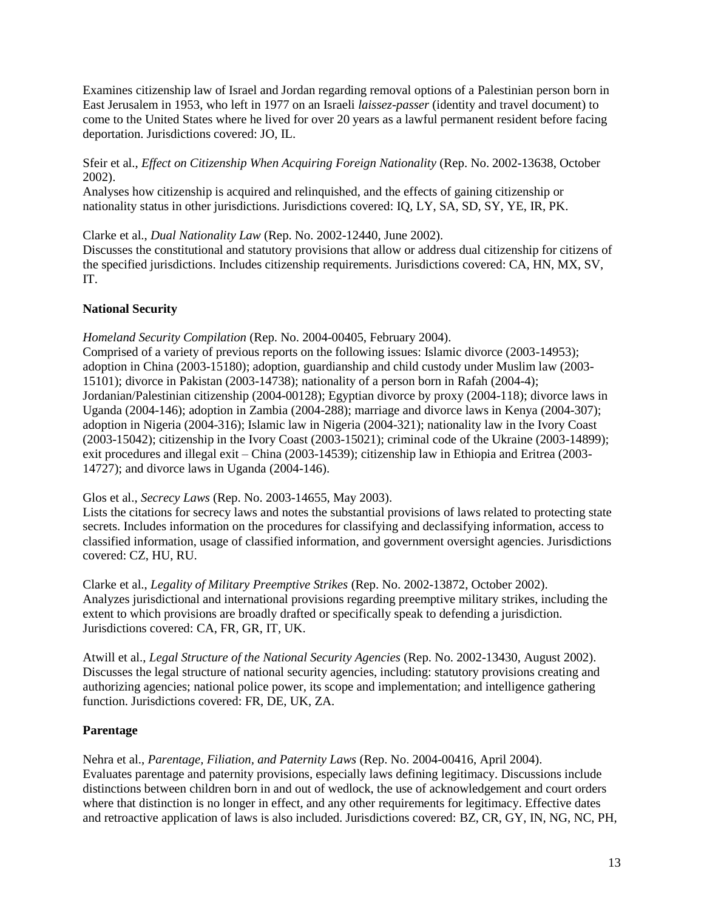Examines citizenship law of Israel and Jordan regarding removal options of a Palestinian person born in East Jerusalem in 1953, who left in 1977 on an Israeli *laissez-passer* (identity and travel document) to come to the United States where he lived for over 20 years as a lawful permanent resident before facing deportation. Jurisdictions covered: JO, IL.

Sfeir et al., *Effect on Citizenship When Acquiring Foreign Nationality* (Rep. No. 2002-13638, October 2002).

Analyses how citizenship is acquired and relinquished, and the effects of gaining citizenship or nationality status in other jurisdictions. Jurisdictions covered: IQ, LY, SA, SD, SY, YE, IR, PK.

Clarke et al., *Dual Nationality Law* (Rep. No. 2002-12440, June 2002).

Discusses the constitutional and statutory provisions that allow or address dual citizenship for citizens of the specified jurisdictions. Includes citizenship requirements. Jurisdictions covered: CA, HN, MX, SV, IT.

## <span id="page-16-0"></span>**National Security**

*Homeland Security Compilation* (Rep. No. 2004-00405, February 2004).

Comprised of a variety of previous reports on the following issues: Islamic divorce (2003-14953); adoption in China (2003-15180); adoption, guardianship and child custody under Muslim law (2003- 15101); divorce in Pakistan (2003-14738); nationality of a person born in Rafah (2004-4); Jordanian/Palestinian citizenship (2004-00128); Egyptian divorce by proxy (2004-118); divorce laws in Uganda (2004-146); adoption in Zambia (2004-288); marriage and divorce laws in Kenya (2004-307); adoption in Nigeria (2004-316); Islamic law in Nigeria (2004-321); nationality law in the Ivory Coast (2003-15042); citizenship in the Ivory Coast (2003-15021); criminal code of the Ukraine (2003-14899); exit procedures and illegal exit – China (2003-14539); citizenship law in Ethiopia and Eritrea (2003- 14727); and divorce laws in Uganda (2004-146).

Glos et al., *Secrecy Laws* (Rep. No. 2003-14655, May 2003).

Lists the citations for secrecy laws and notes the substantial provisions of laws related to protecting state secrets. Includes information on the procedures for classifying and declassifying information, access to classified information, usage of classified information, and government oversight agencies. Jurisdictions covered: CZ, HU, RU.

Clarke et al., *Legality of Military Preemptive Strikes* (Rep. No. 2002-13872, October 2002). Analyzes jurisdictional and international provisions regarding preemptive military strikes, including the extent to which provisions are broadly drafted or specifically speak to defending a jurisdiction. Jurisdictions covered: CA, FR, GR, IT, UK.

Atwill et al., *Legal Structure of the National Security Agencies* (Rep. No. 2002-13430, August 2002). Discusses the legal structure of national security agencies, including: statutory provisions creating and authorizing agencies; national police power, its scope and implementation; and intelligence gathering function. Jurisdictions covered: FR, DE, UK, ZA.

# <span id="page-16-1"></span>**Parentage**

Nehra et al., *Parentage, Filiation, and Paternity Laws* (Rep. No. 2004-00416, April 2004). Evaluates parentage and paternity provisions, especially laws defining legitimacy. Discussions include distinctions between children born in and out of wedlock, the use of acknowledgement and court orders where that distinction is no longer in effect, and any other requirements for legitimacy. Effective dates and retroactive application of laws is also included. Jurisdictions covered: BZ, CR, GY, IN, NG, NC, PH,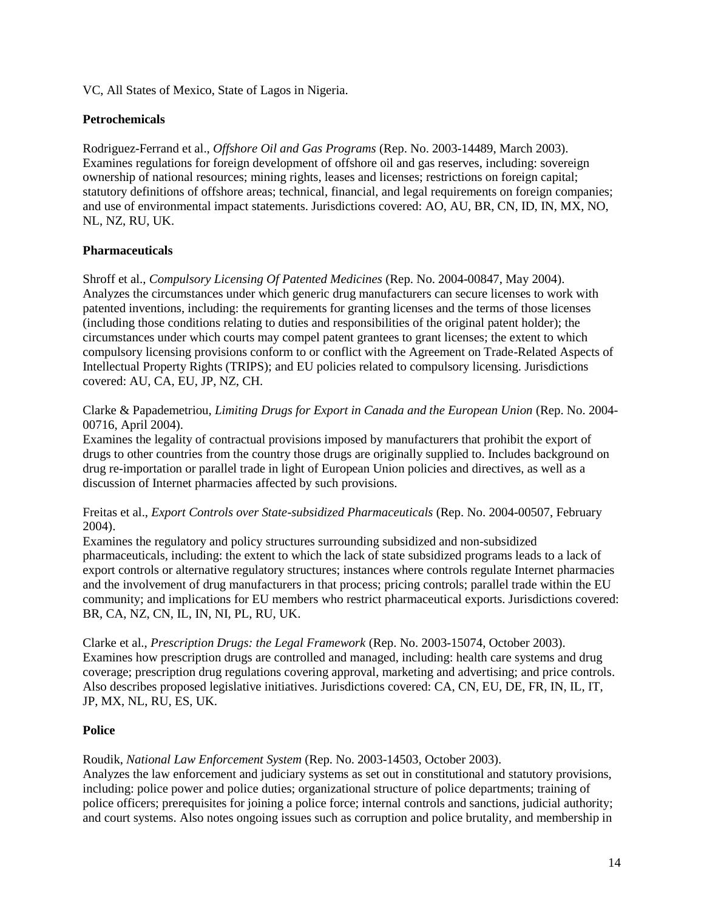VC, All States of Mexico, State of Lagos in Nigeria.

## <span id="page-17-0"></span>**Petrochemicals**

Rodriguez-Ferrand et al., *Offshore Oil and Gas Programs* (Rep. No. 2003-14489, March 2003). Examines regulations for foreign development of offshore oil and gas reserves, including: sovereign ownership of national resources; mining rights, leases and licenses; restrictions on foreign capital; statutory definitions of offshore areas; technical, financial, and legal requirements on foreign companies; and use of environmental impact statements. Jurisdictions covered: AO, AU, BR, CN, ID, IN, MX, NO, NL, NZ, RU, UK.

# <span id="page-17-1"></span>**Pharmaceuticals**

Shroff et al., *Compulsory Licensing Of Patented Medicines* (Rep. No. 2004-00847, May 2004). Analyzes the circumstances under which generic drug manufacturers can secure licenses to work with patented inventions, including: the requirements for granting licenses and the terms of those licenses (including those conditions relating to duties and responsibilities of the original patent holder); the circumstances under which courts may compel patent grantees to grant licenses; the extent to which compulsory licensing provisions conform to or conflict with the Agreement on Trade-Related Aspects of Intellectual Property Rights (TRIPS); and EU policies related to compulsory licensing. Jurisdictions covered: AU, CA, EU, JP, NZ, CH.

#### Clarke & Papademetriou, *Limiting Drugs for Export in Canada and the European Union* (Rep. No. 2004- 00716, April 2004).

Examines the legality of contractual provisions imposed by manufacturers that prohibit the export of drugs to other countries from the country those drugs are originally supplied to. Includes background on drug re-importation or parallel trade in light of European Union policies and directives, as well as a discussion of Internet pharmacies affected by such provisions.

Freitas et al., *Export Controls over State-subsidized Pharmaceuticals* (Rep. No. 2004-00507, February 2004).

Examines the regulatory and policy structures surrounding subsidized and non-subsidized pharmaceuticals, including: the extent to which the lack of state subsidized programs leads to a lack of export controls or alternative regulatory structures; instances where controls regulate Internet pharmacies and the involvement of drug manufacturers in that process; pricing controls; parallel trade within the EU community; and implications for EU members who restrict pharmaceutical exports. Jurisdictions covered: BR, CA, NZ, CN, IL, IN, NI, PL, RU, UK.

Clarke et al., *Prescription Drugs: the Legal Framework* (Rep. No. 2003-15074, October 2003). Examines how prescription drugs are controlled and managed, including: health care systems and drug coverage; prescription drug regulations covering approval, marketing and advertising; and price controls. Also describes proposed legislative initiatives. Jurisdictions covered: CA, CN, EU, DE, FR, IN, IL, IT, JP, MX, NL, RU, ES, UK.

# <span id="page-17-2"></span>**Police**

Roudik, *National Law Enforcement System* (Rep. No. 2003-14503, October 2003).

Analyzes the law enforcement and judiciary systems as set out in constitutional and statutory provisions, including: police power and police duties; organizational structure of police departments; training of police officers; prerequisites for joining a police force; internal controls and sanctions, judicial authority; and court systems. Also notes ongoing issues such as corruption and police brutality, and membership in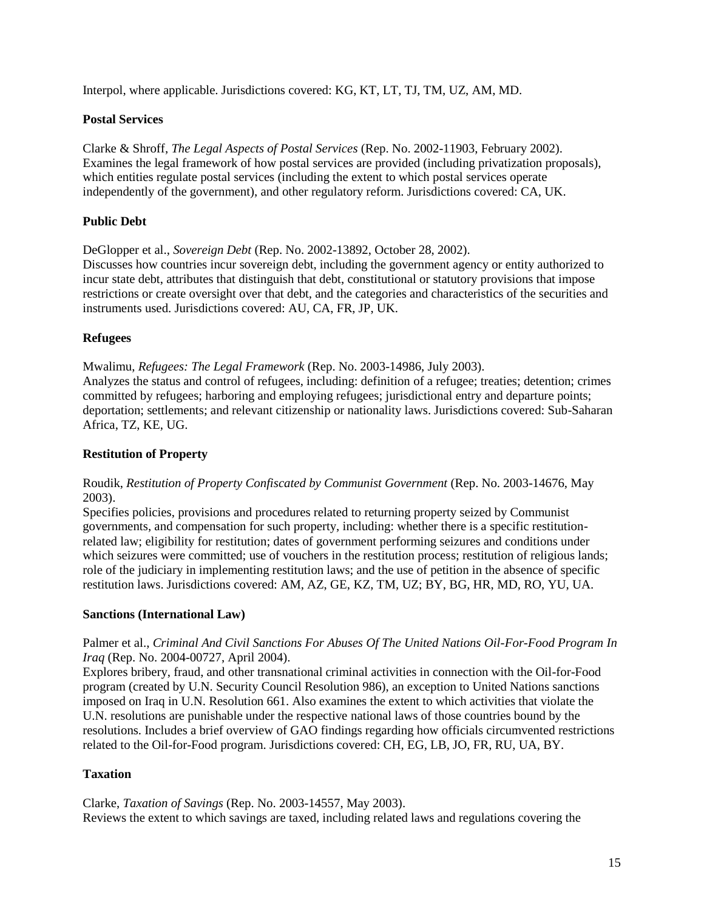Interpol, where applicable. Jurisdictions covered: KG, KT, LT, TJ, TM, UZ, AM, MD.

## <span id="page-18-0"></span>**Postal Services**

Clarke & Shroff, *The Legal Aspects of Postal Services* (Rep. No. 2002-11903, February 2002). Examines the legal framework of how postal services are provided (including privatization proposals), which entities regulate postal services (including the extent to which postal services operate independently of the government), and other regulatory reform. Jurisdictions covered: CA, UK.

# <span id="page-18-1"></span>**Public Debt**

DeGlopper et al., *Sovereign Debt* (Rep. No. 2002-13892, October 28, 2002).

Discusses how countries incur sovereign debt, including the government agency or entity authorized to incur state debt, attributes that distinguish that debt, constitutional or statutory provisions that impose restrictions or create oversight over that debt, and the categories and characteristics of the securities and instruments used. Jurisdictions covered: AU, CA, FR, JP, UK.

#### <span id="page-18-2"></span>**Refugees**

Mwalimu, *Refugees: The Legal Framework* (Rep. No. 2003-14986, July 2003). Analyzes the status and control of refugees, including: definition of a refugee; treaties; detention; crimes committed by refugees; harboring and employing refugees; jurisdictional entry and departure points; deportation; settlements; and relevant citizenship or nationality laws. Jurisdictions covered: Sub-Saharan Africa, TZ, KE, UG.

#### <span id="page-18-3"></span>**Restitution of Property**

#### Roudik, *Restitution of Property Confiscated by Communist Government* (Rep. No. 2003-14676, May 2003).

Specifies policies, provisions and procedures related to returning property seized by Communist governments, and compensation for such property, including: whether there is a specific restitutionrelated law; eligibility for restitution; dates of government performing seizures and conditions under which seizures were committed; use of vouchers in the restitution process; restitution of religious lands; role of the judiciary in implementing restitution laws; and the use of petition in the absence of specific restitution laws. Jurisdictions covered: AM, AZ, GE, KZ, TM, UZ; BY, BG, HR, MD, RO, YU, UA.

#### <span id="page-18-4"></span>**Sanctions (International Law)**

## Palmer et al., *Criminal And Civil Sanctions For Abuses Of The United Nations Oil-For-Food Program In Iraq* (Rep. No. 2004-00727, April 2004).

Explores bribery, fraud, and other transnational criminal activities in connection with the Oil-for-Food program (created by U.N. Security Council Resolution 986), an exception to United Nations sanctions imposed on Iraq in U.N. Resolution 661. Also examines the extent to which activities that violate the U.N. resolutions are punishable under the respective national laws of those countries bound by the resolutions. Includes a brief overview of GAO findings regarding how officials circumvented restrictions related to the Oil-for-Food program. Jurisdictions covered: CH, EG, LB, JO, FR, RU, UA, BY.

#### <span id="page-18-5"></span>**Taxation**

Clarke, *Taxation of Savings* (Rep. No. 2003-14557, May 2003). Reviews the extent to which savings are taxed, including related laws and regulations covering the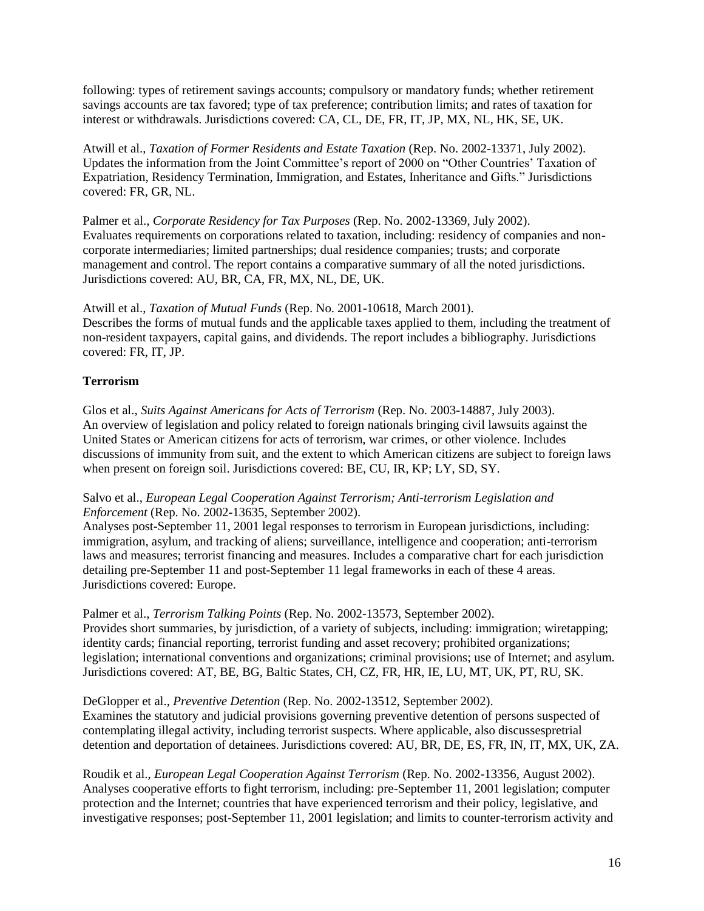following: types of retirement savings accounts; compulsory or mandatory funds; whether retirement savings accounts are tax favored; type of tax preference; contribution limits; and rates of taxation for interest or withdrawals. Jurisdictions covered: CA, CL, DE, FR, IT, JP, MX, NL, HK, SE, UK.

Atwill et al., *Taxation of Former Residents and Estate Taxation* (Rep. No. 2002-13371, July 2002). Updates the information from the Joint Committee's report of 2000 on "Other Countries' Taxation of Expatriation, Residency Termination, Immigration, and Estates, Inheritance and Gifts." Jurisdictions covered: FR, GR, NL.

Palmer et al., *Corporate Residency for Tax Purposes* (Rep. No. 2002-13369, July 2002). Evaluates requirements on corporations related to taxation, including: residency of companies and noncorporate intermediaries; limited partnerships; dual residence companies; trusts; and corporate management and control. The report contains a comparative summary of all the noted jurisdictions. Jurisdictions covered: AU, BR, CA, FR, MX, NL, DE, UK.

Atwill et al., *Taxation of Mutual Funds* (Rep. No. 2001-10618, March 2001). Describes the forms of mutual funds and the applicable taxes applied to them, including the treatment of non-resident taxpayers, capital gains, and dividends. The report includes a bibliography. Jurisdictions covered: FR, IT, JP.

# <span id="page-19-0"></span>**Terrorism**

Glos et al., *Suits Against Americans for Acts of Terrorism* (Rep. No. 2003-14887, July 2003). An overview of legislation and policy related to foreign nationals bringing civil lawsuits against the United States or American citizens for acts of terrorism, war crimes, or other violence. Includes discussions of immunity from suit, and the extent to which American citizens are subject to foreign laws when present on foreign soil. Jurisdictions covered: BE, CU, IR, KP; LY, SD, SY.

Salvo et al., *European Legal Cooperation Against Terrorism; Anti-terrorism Legislation and Enforcement* (Rep. No. 2002-13635, September 2002).

Analyses post-September 11, 2001 legal responses to terrorism in European jurisdictions, including: immigration, asylum, and tracking of aliens; surveillance, intelligence and cooperation; anti-terrorism laws and measures; terrorist financing and measures. Includes a comparative chart for each jurisdiction detailing pre-September 11 and post-September 11 legal frameworks in each of these 4 areas. Jurisdictions covered: Europe.

Palmer et al., *Terrorism Talking Points* (Rep. No. 2002-13573, September 2002). Provides short summaries, by jurisdiction, of a variety of subjects, including: immigration; wiretapping; identity cards; financial reporting, terrorist funding and asset recovery; prohibited organizations; legislation; international conventions and organizations; criminal provisions; use of Internet; and asylum. Jurisdictions covered: AT, BE, BG, Baltic States, CH, CZ, FR, HR, IE, LU, MT, UK, PT, RU, SK.

DeGlopper et al., *Preventive Detention* (Rep. No. 2002-13512, September 2002).

Examines the statutory and judicial provisions governing preventive detention of persons suspected of contemplating illegal activity, including terrorist suspects. Where applicable, also discussespretrial detention and deportation of detainees. Jurisdictions covered: AU, BR, DE, ES, FR, IN, IT, MX, UK, ZA.

Roudik et al., *European Legal Cooperation Against Terrorism* (Rep. No. 2002-13356, August 2002). Analyses cooperative efforts to fight terrorism, including: pre-September 11, 2001 legislation; computer protection and the Internet; countries that have experienced terrorism and their policy, legislative, and investigative responses; post-September 11, 2001 legislation; and limits to counter-terrorism activity and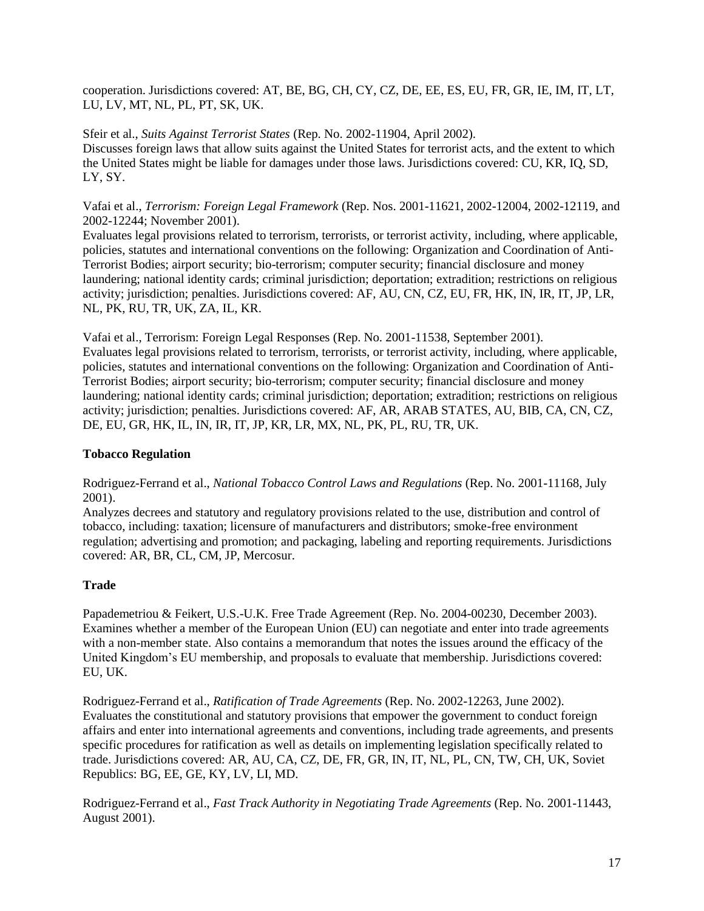cooperation. Jurisdictions covered: AT, BE, BG, CH, CY, CZ, DE, EE, ES, EU, FR, GR, IE, IM, IT, LT, LU, LV, MT, NL, PL, PT, SK, UK.

Sfeir et al., *Suits Against Terrorist States* (Rep. No. 2002-11904, April 2002). Discusses foreign laws that allow suits against the United States for terrorist acts, and the extent to which the United States might be liable for damages under those laws. Jurisdictions covered: CU, KR, IQ, SD, LY, SY.

Vafai et al., *Terrorism: Foreign Legal Framework* (Rep. Nos. 2001-11621, 2002-12004, 2002-12119, and 2002-12244; November 2001).

Evaluates legal provisions related to terrorism, terrorists, or terrorist activity, including, where applicable, policies, statutes and international conventions on the following: Organization and Coordination of Anti-Terrorist Bodies; airport security; bio-terrorism; computer security; financial disclosure and money laundering; national identity cards; criminal jurisdiction; deportation; extradition; restrictions on religious activity; jurisdiction; penalties. Jurisdictions covered: AF, AU, CN, CZ, EU, FR, HK, IN, IR, IT, JP, LR, NL, PK, RU, TR, UK, ZA, IL, KR.

Vafai et al., Terrorism: Foreign Legal Responses (Rep. No. 2001-11538, September 2001). Evaluates legal provisions related to terrorism, terrorists, or terrorist activity, including, where applicable, policies, statutes and international conventions on the following: Organization and Coordination of Anti-Terrorist Bodies; airport security; bio-terrorism; computer security; financial disclosure and money laundering; national identity cards; criminal jurisdiction; deportation; extradition; restrictions on religious activity; jurisdiction; penalties. Jurisdictions covered: AF, AR, ARAB STATES, AU, BIB, CA, CN, CZ, DE, EU, GR, HK, IL, IN, IR, IT, JP, KR, LR, MX, NL, PK, PL, RU, TR, UK.

#### <span id="page-20-0"></span>**Tobacco Regulation**

Rodriguez-Ferrand et al., *National Tobacco Control Laws and Regulations* (Rep. No. 2001-11168, July 2001).

Analyzes decrees and statutory and regulatory provisions related to the use, distribution and control of tobacco, including: taxation; licensure of manufacturers and distributors; smoke-free environment regulation; advertising and promotion; and packaging, labeling and reporting requirements. Jurisdictions covered: AR, BR, CL, CM, JP, Mercosur.

# <span id="page-20-1"></span>**Trade**

Papademetriou & Feikert, U.S.-U.K. Free Trade Agreement (Rep. No. 2004-00230, December 2003). Examines whether a member of the European Union (EU) can negotiate and enter into trade agreements with a non-member state. Also contains a memorandum that notes the issues around the efficacy of the United Kingdom's EU membership, and proposals to evaluate that membership. Jurisdictions covered: EU, UK.

Rodriguez-Ferrand et al., *Ratification of Trade Agreements* (Rep. No. 2002-12263, June 2002). Evaluates the constitutional and statutory provisions that empower the government to conduct foreign affairs and enter into international agreements and conventions, including trade agreements, and presents specific procedures for ratification as well as details on implementing legislation specifically related to trade. Jurisdictions covered: AR, AU, CA, CZ, DE, FR, GR, IN, IT, NL, PL, CN, TW, CH, UK, Soviet Republics: BG, EE, GE, KY, LV, LI, MD.

Rodriguez-Ferrand et al., *Fast Track Authority in Negotiating Trade Agreements* (Rep. No. 2001-11443, August 2001).